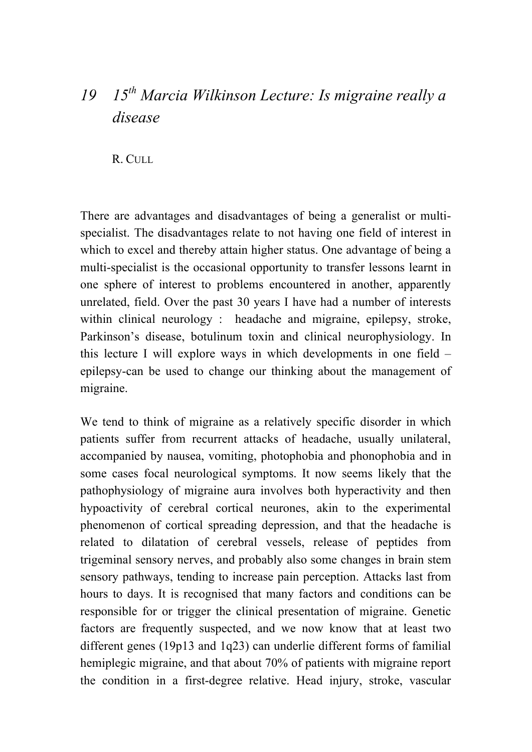## *19 15th Marcia Wilkinson Lecture: Is migraine really a disease*

R. CULL

There are advantages and disadvantages of being a generalist or multispecialist. The disadvantages relate to not having one field of interest in which to excel and thereby attain higher status. One advantage of being a multi-specialist is the occasional opportunity to transfer lessons learnt in one sphere of interest to problems encountered in another, apparently unrelated, field. Over the past 30 years I have had a number of interests within clinical neurology : headache and migraine, epilepsy, stroke, Parkinson's disease, botulinum toxin and clinical neurophysiology. In this lecture I will explore ways in which developments in one field – epilepsy-can be used to change our thinking about the management of migraine.

We tend to think of migraine as a relatively specific disorder in which patients suffer from recurrent attacks of headache, usually unilateral, accompanied by nausea, vomiting, photophobia and phonophobia and in some cases focal neurological symptoms. It now seems likely that the pathophysiology of migraine aura involves both hyperactivity and then hypoactivity of cerebral cortical neurones, akin to the experimental phenomenon of cortical spreading depression, and that the headache is related to dilatation of cerebral vessels, release of peptides from trigeminal sensory nerves, and probably also some changes in brain stem sensory pathways, tending to increase pain perception. Attacks last from hours to days. It is recognised that many factors and conditions can be responsible for or trigger the clinical presentation of migraine. Genetic factors are frequently suspected, and we now know that at least two different genes (19p13 and 1q23) can underlie different forms of familial hemiplegic migraine, and that about 70% of patients with migraine report the condition in a first-degree relative. Head injury, stroke, vascular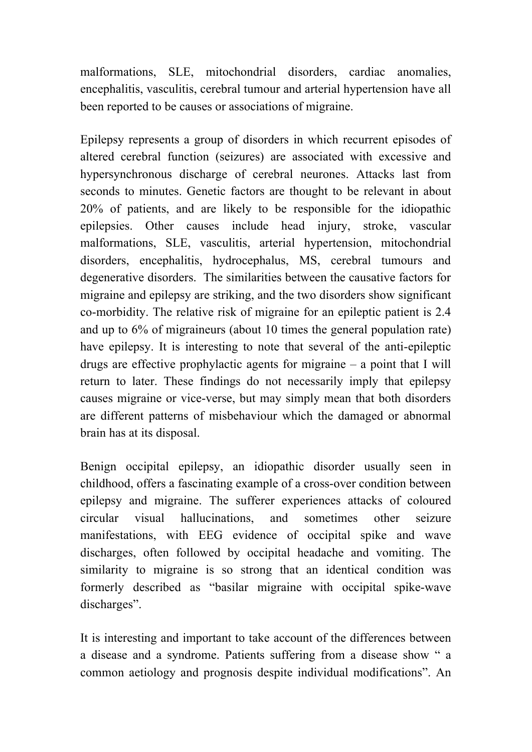malformations, SLE, mitochondrial disorders, cardiac anomalies, encephalitis, vasculitis, cerebral tumour and arterial hypertension have all been reported to be causes or associations of migraine.

Epilepsy represents a group of disorders in which recurrent episodes of altered cerebral function (seizures) are associated with excessive and hypersynchronous discharge of cerebral neurones. Attacks last from seconds to minutes. Genetic factors are thought to be relevant in about 20% of patients, and are likely to be responsible for the idiopathic epilepsies. Other causes include head injury, stroke, vascular malformations, SLE, vasculitis, arterial hypertension, mitochondrial disorders, encephalitis, hydrocephalus, MS, cerebral tumours and degenerative disorders. The similarities between the causative factors for migraine and epilepsy are striking, and the two disorders show significant co-morbidity. The relative risk of migraine for an epileptic patient is 2.4 and up to 6% of migraineurs (about 10 times the general population rate) have epilepsy. It is interesting to note that several of the anti-epileptic drugs are effective prophylactic agents for migraine – a point that I will return to later. These findings do not necessarily imply that epilepsy causes migraine or vice-verse, but may simply mean that both disorders are different patterns of misbehaviour which the damaged or abnormal brain has at its disposal.

Benign occipital epilepsy, an idiopathic disorder usually seen in childhood, offers a fascinating example of a cross-over condition between epilepsy and migraine. The sufferer experiences attacks of coloured circular visual hallucinations, and sometimes other seizure manifestations, with EEG evidence of occipital spike and wave discharges, often followed by occipital headache and vomiting. The similarity to migraine is so strong that an identical condition was formerly described as "basilar migraine with occipital spike-wave discharges".

It is interesting and important to take account of the differences between a disease and a syndrome. Patients suffering from a disease show " a common aetiology and prognosis despite individual modifications". An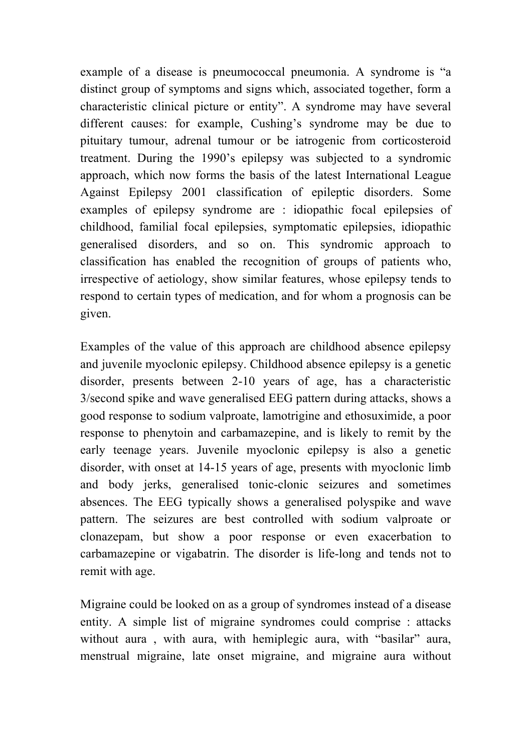example of a disease is pneumococcal pneumonia. A syndrome is "a distinct group of symptoms and signs which, associated together, form a characteristic clinical picture or entity". A syndrome may have several different causes: for example, Cushing's syndrome may be due to pituitary tumour, adrenal tumour or be iatrogenic from corticosteroid treatment. During the 1990's epilepsy was subjected to a syndromic approach, which now forms the basis of the latest International League Against Epilepsy 2001 classification of epileptic disorders. Some examples of epilepsy syndrome are : idiopathic focal epilepsies of childhood, familial focal epilepsies, symptomatic epilepsies, idiopathic generalised disorders, and so on. This syndromic approach to classification has enabled the recognition of groups of patients who, irrespective of aetiology, show similar features, whose epilepsy tends to respond to certain types of medication, and for whom a prognosis can be given.

Examples of the value of this approach are childhood absence epilepsy and juvenile myoclonic epilepsy. Childhood absence epilepsy is a genetic disorder, presents between 2-10 years of age, has a characteristic 3/second spike and wave generalised EEG pattern during attacks, shows a good response to sodium valproate, lamotrigine and ethosuximide, a poor response to phenytoin and carbamazepine, and is likely to remit by the early teenage years. Juvenile myoclonic epilepsy is also a genetic disorder, with onset at 14-15 years of age, presents with myoclonic limb and body jerks, generalised tonic-clonic seizures and sometimes absences. The EEG typically shows a generalised polyspike and wave pattern. The seizures are best controlled with sodium valproate or clonazepam, but show a poor response or even exacerbation to carbamazepine or vigabatrin. The disorder is life-long and tends not to remit with age.

Migraine could be looked on as a group of syndromes instead of a disease entity. A simple list of migraine syndromes could comprise : attacks without aura, with aura, with hemiplegic aura, with "basilar" aura, menstrual migraine, late onset migraine, and migraine aura without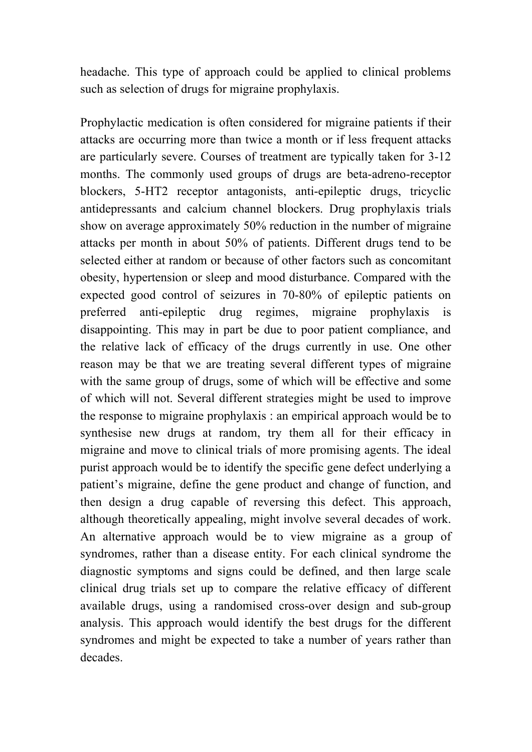headache. This type of approach could be applied to clinical problems such as selection of drugs for migraine prophylaxis.

Prophylactic medication is often considered for migraine patients if their attacks are occurring more than twice a month or if less frequent attacks are particularly severe. Courses of treatment are typically taken for 3-12 months. The commonly used groups of drugs are beta-adreno-receptor blockers, 5-HT2 receptor antagonists, anti-epileptic drugs, tricyclic antidepressants and calcium channel blockers. Drug prophylaxis trials show on average approximately 50% reduction in the number of migraine attacks per month in about 50% of patients. Different drugs tend to be selected either at random or because of other factors such as concomitant obesity, hypertension or sleep and mood disturbance. Compared with the expected good control of seizures in 70-80% of epileptic patients on preferred anti-epileptic drug regimes, migraine prophylaxis is disappointing. This may in part be due to poor patient compliance, and the relative lack of efficacy of the drugs currently in use. One other reason may be that we are treating several different types of migraine with the same group of drugs, some of which will be effective and some of which will not. Several different strategies might be used to improve the response to migraine prophylaxis : an empirical approach would be to synthesise new drugs at random, try them all for their efficacy in migraine and move to clinical trials of more promising agents. The ideal purist approach would be to identify the specific gene defect underlying a patient's migraine, define the gene product and change of function, and then design a drug capable of reversing this defect. This approach, although theoretically appealing, might involve several decades of work. An alternative approach would be to view migraine as a group of syndromes, rather than a disease entity. For each clinical syndrome the diagnostic symptoms and signs could be defined, and then large scale clinical drug trials set up to compare the relative efficacy of different available drugs, using a randomised cross-over design and sub-group analysis. This approach would identify the best drugs for the different syndromes and might be expected to take a number of years rather than decades.